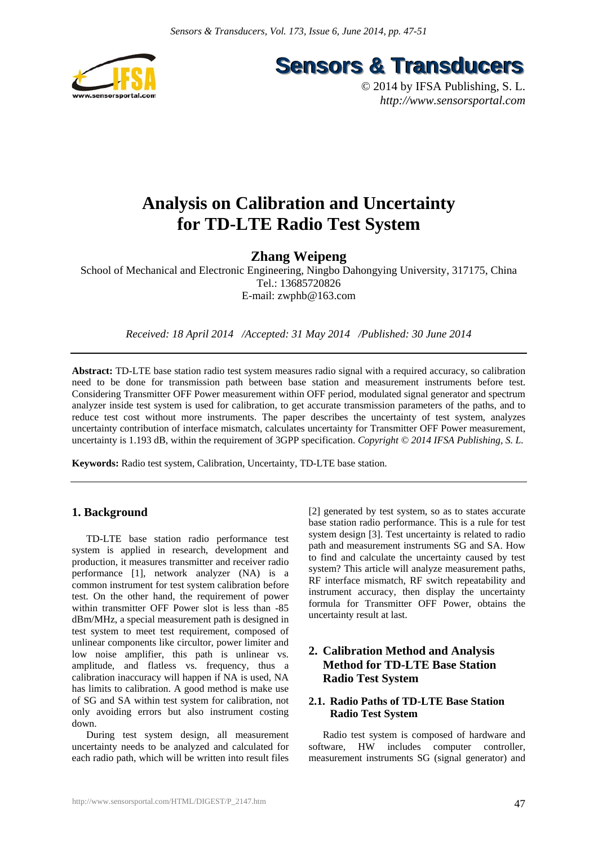

**Sensors & Transducers** 

© 2014 by IFSA Publishing, S. L. *http://www.sensorsportal.com*

## **Analysis on Calibration and Uncertainty for TD-LTE Radio Test System**

## **Zhang Weipeng**

School of Mechanical and Electronic Engineering, Ningbo Dahongying University, 317175, China Tel.: 13685720826 E-mail: zwphb@163.com

*Received: 18 April 2014 /Accepted: 31 May 2014 /Published: 30 June 2014* 

**Abstract:** TD-LTE base station radio test system measures radio signal with a required accuracy, so calibration need to be done for transmission path between base station and measurement instruments before test. Considering Transmitter OFF Power measurement within OFF period, modulated signal generator and spectrum analyzer inside test system is used for calibration, to get accurate transmission parameters of the paths, and to reduce test cost without more instruments. The paper describes the uncertainty of test system, analyzes uncertainty contribution of interface mismatch, calculates uncertainty for Transmitter OFF Power measurement, uncertainty is 1.193 dB, within the requirement of 3GPP specification. *Copyright* © 2014 IFSA Publishing, S. L.

**Keywords:** Radio test system, Calibration, Uncertainty, TD-LTE base station.

### **1. Background**

TD-LTE base station radio performance test system is applied in research, development and production, it measures transmitter and receiver radio performance [1], network analyzer (NA) is a common instrument for test system calibration before test. On the other hand, the requirement of power within transmitter OFF Power slot is less than -85 dBm/MHz, a special measurement path is designed in test system to meet test requirement, composed of unlinear components like circultor, power limiter and low noise amplifier, this path is unlinear vs. amplitude, and flatless vs. frequency, thus a calibration inaccuracy will happen if NA is used, NA has limits to calibration. A good method is make use of SG and SA within test system for calibration, not only avoiding errors but also instrument costing down.

During test system design, all measurement uncertainty needs to be analyzed and calculated for each radio path, which will be written into result files [2] generated by test system, so as to states accurate base station radio performance. This is a rule for test system design [3]. Test uncertainty is related to radio path and measurement instruments SG and SA. How to find and calculate the uncertainty caused by test system? This article will analyze measurement paths, RF interface mismatch, RF switch repeatability and instrument accuracy, then display the uncertainty formula for Transmitter OFF Power, obtains the uncertainty result at last.

## **2. Calibration Method and Analysis Method for TD-LTE Base Station Radio Test System**

#### **2.1. Radio Paths of TD-LTE Base Station Radio Test System**

Radio test system is composed of hardware and software, HW includes computer controller, measurement instruments SG (signal generator) and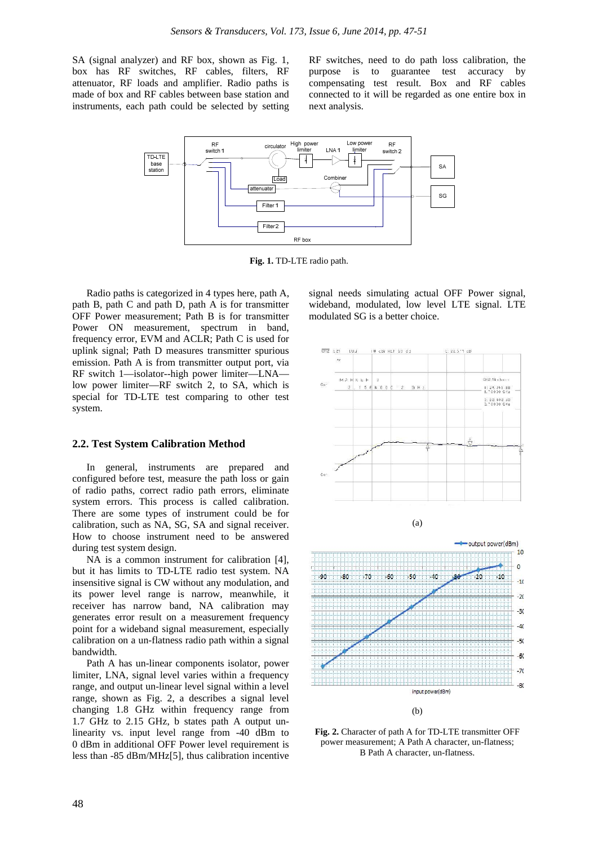SA (signal analyzer) and RF box, shown as Fig. 1, box has RF switches, RF cables, filters, RF attenuator, RF loads and amplifier. Radio paths is made of box and RF cables between base station and instruments, each path could be selected by setting RF switches, need to do path loss calibration, the purpose is to guarantee test accuracy by compensating test result. Box and RF cables connected to it will be regarded as one entire box in next analysis.



**Fig. 1.** TD-LTE radio path.

Radio paths is categorized in 4 types here, path A, path B, path C and path D, path A is for transmitter OFF Power measurement; Path B is for transmitter Power ON measurement, spectrum in band, frequency error, EVM and ACLR; Path C is used for uplink signal; Path D measures transmitter spurious emission. Path A is from transmitter output port, via RF switch 1—isolator--high power limiter—LNA low power limiter—RF switch 2, to SA, which is special for TD-LTE test comparing to other test system.

#### **2.2. Test System Calibration Method**

In general, instruments are prepared and configured before test, measure the path loss or gain of radio paths, correct radio path errors, eliminate system errors. This process is called calibration. There are some types of instrument could be for calibration, such as NA, SG, SA and signal receiver. How to choose instrument need to be answered during test system design.

NA is a common instrument for calibration [4], but it has limits to TD-LTE radio test system. NA insensitive signal is CW without any modulation, and its power level range is narrow, meanwhile, it receiver has narrow band, NA calibration may generates error result on a measurement frequency point for a wideband signal measurement, especially calibration on a un-flatness radio path within a signal bandwidth.

Path A has un-linear components isolator, power limiter, LNA, signal level varies within a frequency range, and output un-linear level signal within a level range, shown as Fig. 2, a describes a signal level changing 1.8 GHz within frequency range from 1.7 GHz to 2.15 GHz, b states path A output unlinearity vs. input level range from -40 dBm to 0 dBm in additional OFF Power level requirement is less than -85 dBm/MHz[5], thus calibration incentive

signal needs simulating actual OFF Power signal, wideband, modulated, low level LTE signal. LTE modulated SG is a better choice.



**Fig. 2.** Character of path A for TD-LTE transmitter OFF power measurement; A Path A character, un-flatness; B Path A character, un-flatness.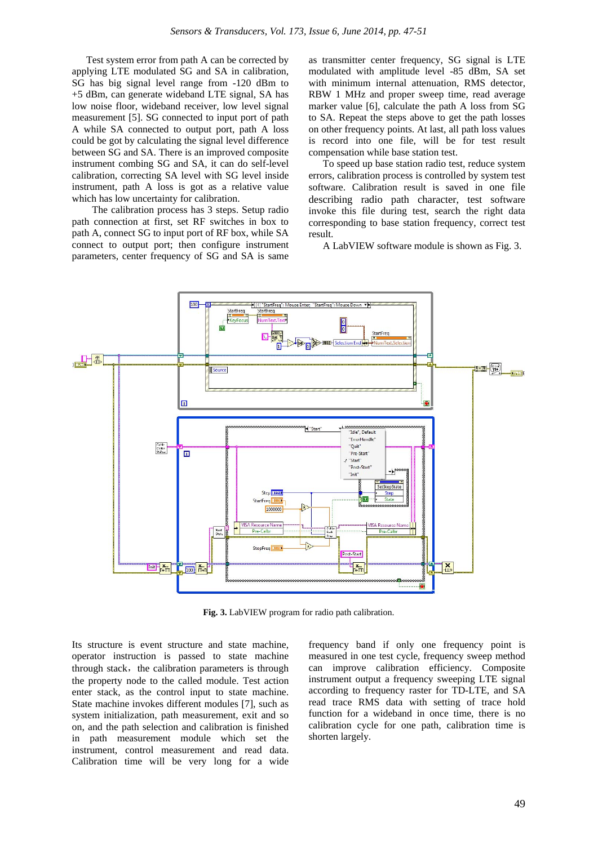Test system error from path A can be corrected by applying LTE modulated SG and SA in calibration, SG has big signal level range from -120 dBm to +5 dBm, can generate wideband LTE signal, SA has low noise floor, wideband receiver, low level signal measurement [5]. SG connected to input port of path A while SA connected to output port, path A loss could be got by calculating the signal level difference between SG and SA. There is an improved composite instrument combing SG and SA, it can do self-level calibration, correcting SA level with SG level inside instrument, path A loss is got as a relative value which has low uncertainty for calibration.

The calibration process has 3 steps. Setup radio path connection at first, set RF switches in box to path A, connect SG to input port of RF box, while SA connect to output port; then configure instrument parameters, center frequency of SG and SA is same

as transmitter center frequency, SG signal is LTE modulated with amplitude level -85 dBm, SA set with minimum internal attenuation, RMS detector, RBW 1 MHz and proper sweep time, read average marker value [6], calculate the path A loss from SG to SA. Repeat the steps above to get the path losses on other frequency points. At last, all path loss values is record into one file, will be for test result compensation while base station test.

To speed up base station radio test, reduce system errors, calibration process is controlled by system test software. Calibration result is saved in one file describing radio path character, test software invoke this file during test, search the right data corresponding to base station frequency, correct test result.

A LabVIEW software module is shown as Fig. 3.



**Fig. 3.** LabVIEW program for radio path calibration.

Its structure is event structure and state machine, operator instruction is passed to state machine through stack, the calibration parameters is through the property node to the called module. Test action enter stack, as the control input to state machine. State machine invokes different modules [7], such as system initialization, path measurement, exit and so on, and the path selection and calibration is finished in path measurement module which set the instrument, control measurement and read data. Calibration time will be very long for a wide

frequency band if only one frequency point is measured in one test cycle, frequency sweep method can improve calibration efficiency. Composite instrument output a frequency sweeping LTE signal according to frequency raster for TD-LTE, and SA read trace RMS data with setting of trace hold function for a wideband in once time, there is no calibration cycle for one path, calibration time is shorten largely.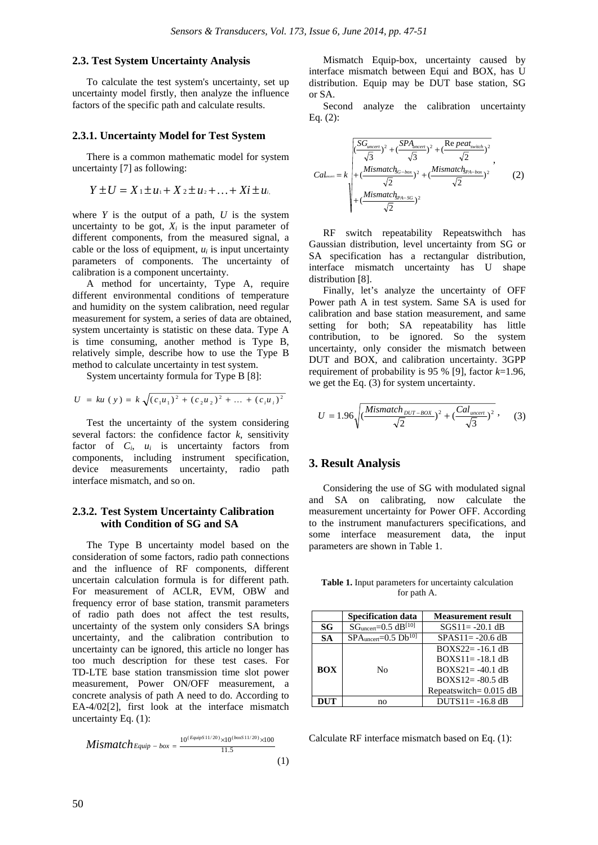#### **2.3. Test System Uncertainty Analysis**

To calculate the test system's uncertainty, set up uncertainty model firstly, then analyze the influence factors of the specific path and calculate results.

#### **2.3.1. Uncertainty Model for Test System**

There is a common mathematic model for system uncertainty [7] as following:

$$
Y\pm U=X_1\pm u_1+X_2\pm u_2+\ldots+Xi\pm u_i
$$

where  $Y$  is the output of a path,  $U$  is the system uncertainty to be got,  $X_i$  is the input parameter of different components, from the measured signal, a cable or the loss of equipment,  $u_i$  is input uncertainty parameters of components. The uncertainty of calibration is a component uncertainty.

A method for uncertainty, Type A, require different environmental conditions of temperature and humidity on the system calibration, need regular measurement for system, a series of data are obtained, system uncertainty is statistic on these data. Type A is time consuming, another method is Type B, relatively simple, describe how to use the Type B method to calculate uncertainty in test system.

System uncertainty formula for Type B [8]:

$$
U = ku (y) = k \sqrt{(c_1 u_1)^2 + (c_2 u_2)^2 + \dots + (c_i u_i)^2}
$$

Test the uncertainty of the system considering several factors: the confidence factor  $k$ , sensitivity factor of *Ci*, *ui* is uncertainty factors from components, including instrument specification, device measurements uncertainty, radio path interface mismatch, and so on.

#### **2.3.2. Test System Uncertainty Calibration with Condition of SG and SA**

The Type B uncertainty model based on the consideration of some factors, radio path connections and the influence of RF components, different uncertain calculation formula is for different path. For measurement of ACLR, EVM, OBW and frequency error of base station, transmit parameters of radio path does not affect the test results, uncertainty of the system only considers SA brings uncertainty, and the calibration contribution to uncertainty can be ignored, this article no longer has too much description for these test cases. For TD-LTE base station transmission time slot power measurement, Power ON/OFF measurement, a concrete analysis of path A need to do. According to EA-4/02[2], first look at the interface mismatch uncertainty Eq. (1):

$$
Mismatch_{Equiv - box} = \frac{10^{(Equiv S 11/20)} \times 10^{(box S 11/20)} \times 100}{11.5} \tag{1}
$$

Mismatch Equip-box, uncertainty caused by interface mismatch between Equi and BOX, has U distribution. Equip may be DUT base station, SG or SA.

Second analyze the calibration uncertainty Eq. (2):

$$
Cal_{mean} = k \sqrt{\frac{\left(\frac{SG_{uncert}}{\sqrt{3}}\right)^{2} + \left(\frac{SPA_{uncert}}{\sqrt{3}}\right)^{2} + \left(\frac{Re\,peak_{switch}}{\sqrt{2}}\right)^{2}}{\sqrt{2}}},
$$
\n
$$
Cal_{mean} = k \sqrt{\frac{Mismatch_{Sc-box}}{\sqrt{2}}\right)^{2} + \left(\frac{Mismatch_{Pa-box}}{\sqrt{2}}\right)^{2}},
$$
\n
$$
+ \left(\frac{Mismatch_{Pa-SG}}{\sqrt{2}}\right)^{2}
$$
\n(2)

RF switch repeatability Repeatswithch has Gaussian distribution, level uncertainty from SG or SA specification has a rectangular distribution, interface mismatch uncertainty has U shape distribution [8].

Finally, let's analyze the uncertainty of OFF Power path A in test system. Same SA is used for calibration and base station measurement, and same setting for both; SA repeatability has little contribution, to be ignored. So the system uncertainty, only consider the mismatch between DUT and BOX, and calibration uncertainty. 3GPP requirement of probability is 95 % [9], factor *k*=1.96, we get the Eq. (3) for system uncertainty.

$$
U = 1.96 \sqrt{\left(\frac{Mismatch_{DUT-Box}}{\sqrt{2}}\right)^2 + \left(\frac{Cal_{uncert}}{\sqrt{3}}\right)^2}, \quad (3)
$$

#### **3. Result Analysis**

Considering the use of SG with modulated signal and SA on calibrating, now calculate the measurement uncertainty for Power OFF. According to the instrument manufacturers specifications, and some interface measurement data, the input parameters are shown in Table 1.

**Table 1.** Input parameters for uncertainty calculation for path A.

|            | <b>Specification data</b>                         | <b>Measurement result</b>                                         |
|------------|---------------------------------------------------|-------------------------------------------------------------------|
| SG         | $SG$ <sub>uncert</sub> = $0.5$ dB <sup>[10]</sup> | $SGS11 = -20.1 dB$                                                |
| <b>SA</b>  | $SPAuncert=0.5$ Db <sup>10]</sup>                 | $SPAS11 = -20.6 dB$                                               |
| <b>BOX</b> | Nο                                                | $BOXS22 = -16.1 dB$<br>$ROXS11 = -18.1 dB$<br>$ROXS21 = -40.1 dB$ |
|            |                                                   | $ROXS12 = -80.5 dB$<br>Repeatswitch= $0.015$ dB                   |
| DUT        | no                                                | $DUTS11 = -16.8 dB$                                               |

Calculate RF interface mismatch based on Eq. (1):